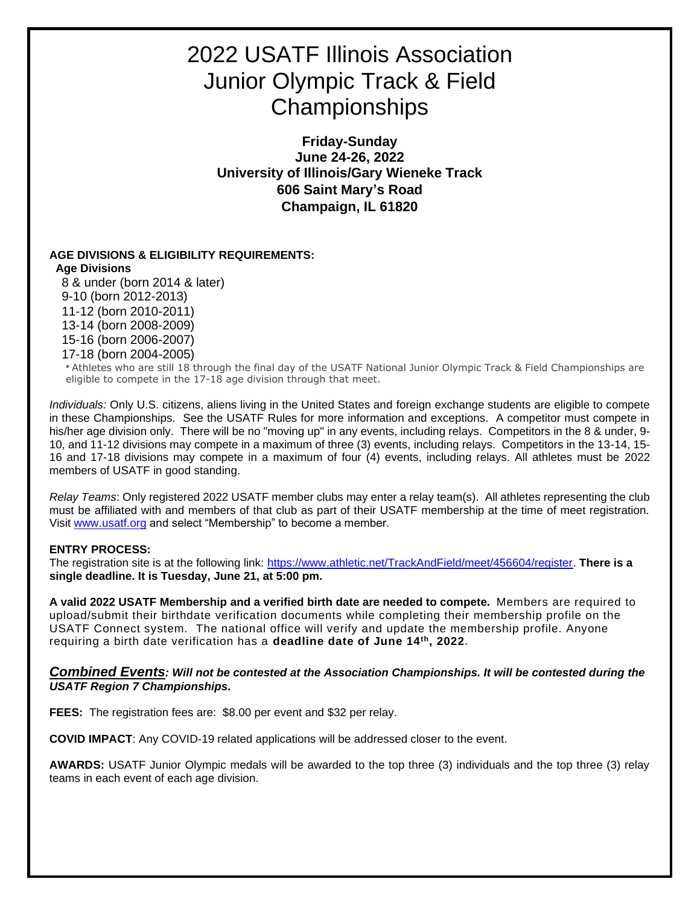## 2022 USATF Illinois Association Junior Olympic Track & Field **Championships**

**Friday-Sunday June 24-26, 2022 University of Illinois/Gary Wieneke Track 606 Saint Mary's Road Champaign, IL 61820**

#### **AGE DIVISIONS & ELIGIBILITY REQUIREMENTS:**

#### **Age Divisions**

8 & under (born 2014 & later) 9-10 (born 2012-2013) 11-12 (born 2010-2011) 13-14 (born 2008-2009) 15-16 (born 2006-2007) 17-18 (born 2004-2005)

\* Athletes who are still 18 through the final day of the USATF National Junior Olympic Track & Field Championships are eligible to compete in the 17-18 age division through that meet.

*Individuals:* Only U.S. citizens, aliens living in the United States and foreign exchange students are eligible to compete in these Championships. See the USATF Rules for more information and exceptions. A competitor must compete in his/her age division only. There will be no "moving up" in any events, including relays. Competitors in the 8 & under, 9- 10, and 11-12 divisions may compete in a maximum of three (3) events, including relays. Competitors in the 13-14, 15- 16 and 17-18 divisions may compete in a maximum of four (4) events, including relays. All athletes must be 2022 members of USATF in good standing.

*Relay Teams*: Only registered 2022 USATF member clubs may enter a relay team(s). All athletes representing the club must be affiliated with and members of that club as part of their USATF membership at the time of meet registration. Visit [www.usatf.org](http://www.usatf.org/) and select "Membership" to become a member.

#### **ENTRY PROCESS:**

The registration site is at the following link: [https://www.athletic.net/TrackAndField/meet/456604/register.](https://www.athletic.net/TrackAndField/meet/456604/register) **There is a single deadline. It is Tuesday, June 21, at 5:00 pm.**

**A valid 2022 USATF Membership and a verified birth date are needed to compete.** Members are required to upload/submit their birthdate verification documents while completing their membership profile on the USATF Connect system. The national office will verify and update the membership profile. Anyone requiring a birth date verification has a **deadline date of June 14th, 2022.**

#### *Combined Events: Will not be contested at the Association Championships. It will be contested during the USATF Region 7 Championships.*

**FEES:** The registration fees are: \$8.00 per event and \$32 per relay.

**COVID IMPACT**: Any COVID-19 related applications will be addressed closer to the event.

**AWARDS:** USATF Junior Olympic medals will be awarded to the top three (3) individuals and the top three (3) relay teams in each event of each age division.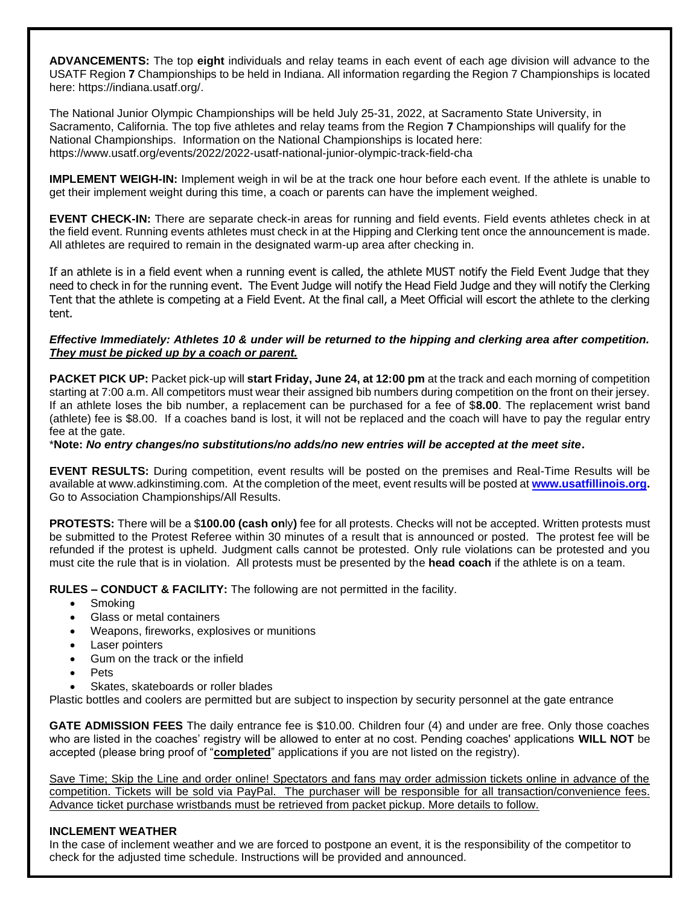**ADVANCEMENTS:** The top **eight** individuals and relay teams in each event of each age division will advance to the USATF Region **7** Championships to be held in Indiana. All information regarding the Region 7 Championships is located here: https://indiana.usatf.org/.

The National Junior Olympic Championships will be held July 25-31, 2022, at Sacramento State University, in Sacramento, California. The top five athletes and relay teams from the Region **7** Championships will qualify for the National Championships. Information on the National Championships is located here: https://www.usatf.org/events/2022/2022-usatf-national-junior-olympic-track-field-cha

**IMPLEMENT WEIGH-IN:** Implement weigh in wil be at the track one hour before each event. If the athlete is unable to get their implement weight during this time, a coach or parents can have the implement weighed.

**EVENT CHECK-IN:** There are separate check-in areas for running and field events. Field events athletes check in at the field event. Running events athletes must check in at the Hipping and Clerking tent once the announcement is made. All athletes are required to remain in the designated warm-up area after checking in.

If an athlete is in a field event when a running event is called, the athlete MUST notify the Field Event Judge that they need to check in for the running event. The Event Judge will notify the Head Field Judge and they will notify the Clerking Tent that the athlete is competing at a Field Event. At the final call, a Meet Official will escort the athlete to the clerking tent.

#### *Effective Immediately: Athletes 10 & under will be returned to the hipping and clerking area after competition. They must be picked up by a coach or parent.*

**PACKET PICK UP:** Packet pick-up will **start Friday, June 24, at 12:00 pm** at the track and each morning of competition starting at 7:00 a.m. All competitors must wear their assigned bib numbers during competition on the front on their jersey. If an athlete loses the bib number, a replacement can be purchased for a fee of \$**8.00**. The replacement wrist band (athlete) fee is \$8.00. If a coaches band is lost, it will not be replaced and the coach will have to pay the regular entry fee at the gate.

#### \***Note:** *No entry changes/no substitutions/no adds/no new entries will be accepted at the meet site***.**

**EVENT RESULTS:** During competition, event results will be posted on the premises and Real-Time Results will be available at www.adkinstiming.com. At the completion of the meet, event results will be posted at **[www.usatfillinois.org.](http://www.usatfillinois.org/)** Go to Association Championships/All Results.

**PROTESTS:** There will be a \$**100.00 (cash on**ly**)** fee for all protests. Checks will not be accepted. Written protests must be submitted to the Protest Referee within 30 minutes of a result that is announced or posted. The protest fee will be refunded if the protest is upheld. Judgment calls cannot be protested. Only rule violations can be protested and you must cite the rule that is in violation. All protests must be presented by the **head coach** if the athlete is on a team.

**RULES – CONDUCT & FACILITY:** The following are not permitted in the facility.

- Smoking
- Glass or metal containers
- Weapons, fireworks, explosives or munitions
- Laser pointers
- Gum on the track or the infield
- Pets
- Skates, skateboards or roller blades

Plastic bottles and coolers are permitted but are subject to inspection by security personnel at the gate entrance

**GATE ADMISSION FEES** The daily entrance fee is \$10.00. Children four (4) and under are free. Only those coaches who are listed in the coaches' registry will be allowed to enter at no cost. Pending coaches' applications **WILL NOT** be accepted (please bring proof of "**completed**" applications if you are not listed on the registry).

Save Time; Skip the Line and order online! Spectators and fans may order admission tickets online in advance of the competition. Tickets will be sold via PayPal. The purchaser will be responsible for all transaction/convenience fees. Advance ticket purchase wristbands must be retrieved from packet pickup. More details to follow.

#### **INCLEMENT WEATHER**

In the case of inclement weather and we are forced to postpone an event, it is the responsibility of the competitor to check for the adjusted time schedule. Instructions will be provided and announced.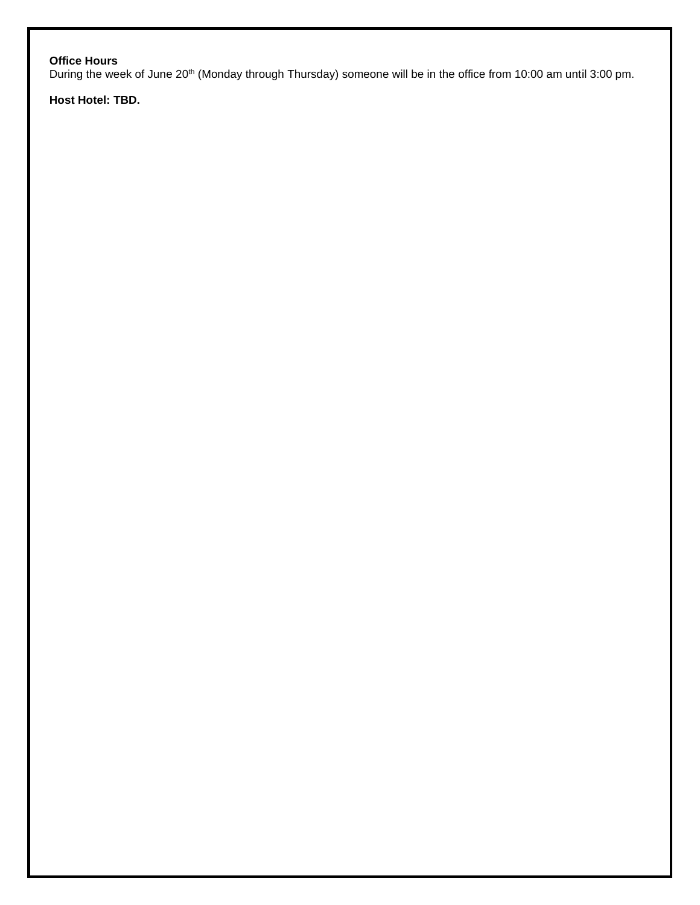### **Office Hours**

During the week of June 20<sup>th</sup> (Monday through Thursday) someone will be in the office from 10:00 am until 3:00 pm.

**Host Hotel: TBD.**